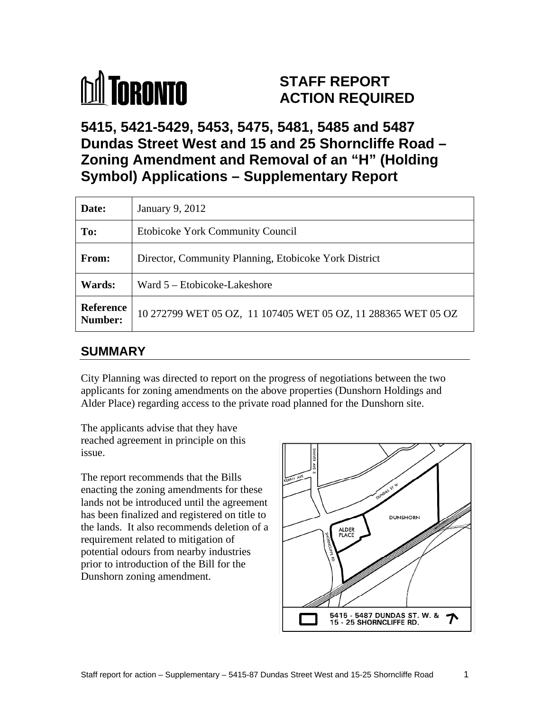

# **STAFF REPORT ACTION REQUIRED**

**5415, 5421-5429, 5453, 5475, 5481, 5485 and 5487 Dundas Street West and 15 and 25 Shorncliffe Road – Zoning Amendment and Removal of an "H" (Holding Symbol) Applications – Supplementary Report** 

| Date:         | January 9, 2012                                                                |
|---------------|--------------------------------------------------------------------------------|
| To:           | Etobicoke York Community Council                                               |
| From:         | Director, Community Planning, Etobicoke York District                          |
| <b>Wards:</b> | $\vert$ Ward 5 – Etobicoke-Lakeshore                                           |
|               | <b>Reference</b> 10 272799 WET 05 OZ, 11 107405 WET 05 OZ, 11 288365 WET 05 OZ |

## **SUMMARY**

City Planning was directed to report on the progress of negotiations between the two applicants for zoning amendments on the above properties (Dunshorn Holdings and Alder Place) regarding access to the private road planned for the Dunshorn site.

The applicants advise that they have reached agreement in principle on this

The report recommends that the Bills enacting the zoning amendments for these lands not be introduced until the agreement has been finalized and registered on title to  $\Box$ the lands. It also recommends deletion of a requirement related to mitigation of potential odours from nearby industries prior to introduction of the Bill for the Dunshorn zoning amendment.

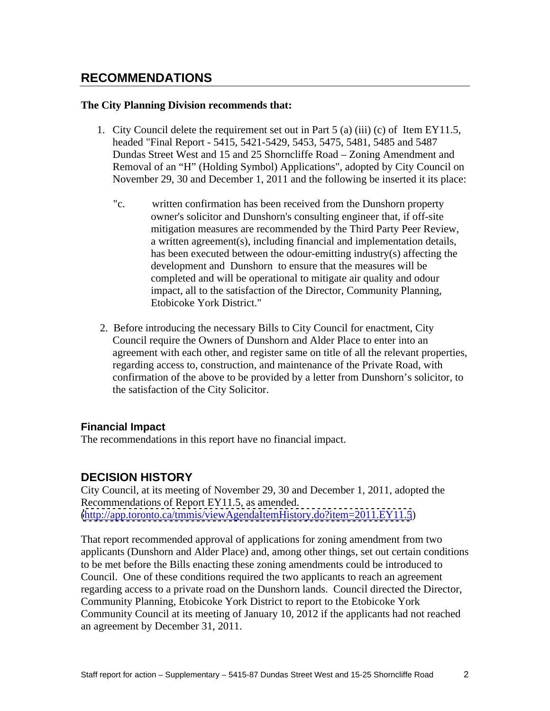## **RECOMMENDATIONS**

#### **The City Planning Division recommends that:**

- 1. City Council delete the requirement set out in Part 5 (a) (iii) (c) of Item EY11.5, headed "Final Report - 5415, 5421-5429, 5453, 5475, 5481, 5485 and 5487 Dundas Street West and 15 and 25 Shorncliffe Road – Zoning Amendment and Removal of an "H" (Holding Symbol) Applications", adopted by City Council on November 29, 30 and December 1, 2011 and the following be inserted it its place:
	- "c. written confirmation has been received from the Dunshorn property owner's solicitor and Dunshorn's consulting engineer that, if off-site mitigation measures are recommended by the Third Party Peer Review, a written agreement(s), including financial and implementation details, has been executed between the odour-emitting industry(s) affecting the development and Dunshorn to ensure that the measures will be completed and will be operational to mitigate air quality and odour impact, all to the satisfaction of the Director, Community Planning, Etobicoke York District."
- 2. Before introducing the necessary Bills to City Council for enactment, City Council require the Owners of Dunshorn and Alder Place to enter into an agreement with each other, and register same on title of all the relevant properties, regarding access to, construction, and maintenance of the Private Road, with confirmation of the above to be provided by a letter from Dunshorn's solicitor, to the satisfaction of the City Solicitor.

#### **Financial Impact**

The recommendations in this report have no financial impact.

### **DECISION HISTORY**

City Council, at its meeting of November 29, 30 and December 1, 2011, adopted the Recommendations of Report EY11.5, as amended. [\(http://app.toronto.ca/tmmis/viewAgendaItemHistory.do?item=2011.EY11.5](http://app.toronto.ca/tmmis/viewAgendaItemHistory.do?item=2011.EY11.5))

That report recommended approval of applications for zoning amendment from two applicants (Dunshorn and Alder Place) and, among other things, set out certain conditions to be met before the Bills enacting these zoning amendments could be introduced to Council. One of these conditions required the two applicants to reach an agreement regarding access to a private road on the Dunshorn lands. Council directed the Director, Community Planning, Etobicoke York District to report to the Etobicoke York Community Council at its meeting of January 10, 2012 if the applicants had not reached an agreement by December 31, 2011.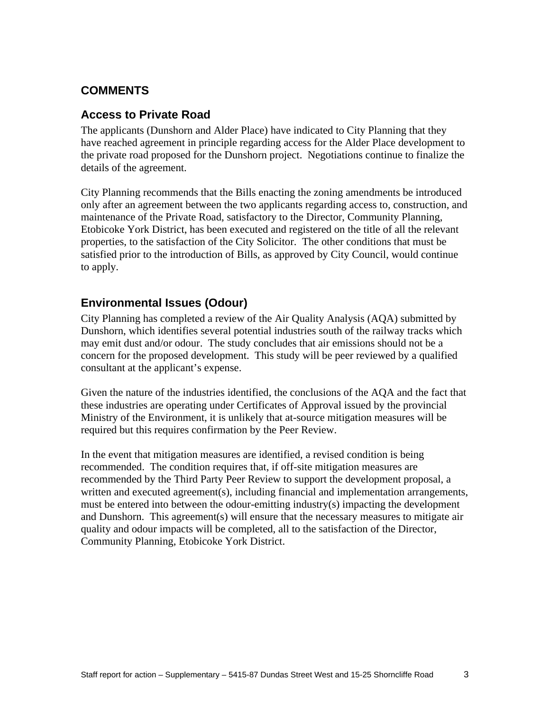### **COMMENTS**

#### **Access to Private Road**

The applicants (Dunshorn and Alder Place) have indicated to City Planning that they have reached agreement in principle regarding access for the Alder Place development to the private road proposed for the Dunshorn project. Negotiations continue to finalize the details of the agreement.

City Planning recommends that the Bills enacting the zoning amendments be introduced only after an agreement between the two applicants regarding access to, construction, and maintenance of the Private Road, satisfactory to the Director, Community Planning, Etobicoke York District, has been executed and registered on the title of all the relevant properties, to the satisfaction of the City Solicitor. The other conditions that must be satisfied prior to the introduction of Bills, as approved by City Council, would continue to apply.

### **Environmental Issues (Odour)**

City Planning has completed a review of the Air Quality Analysis (AQA) submitted by Dunshorn, which identifies several potential industries south of the railway tracks which may emit dust and/or odour. The study concludes that air emissions should not be a concern for the proposed development. This study will be peer reviewed by a qualified consultant at the applicant's expense.

Given the nature of the industries identified, the conclusions of the AQA and the fact that these industries are operating under Certificates of Approval issued by the provincial Ministry of the Environment, it is unlikely that at-source mitigation measures will be required but this requires confirmation by the Peer Review.

In the event that mitigation measures are identified, a revised condition is being recommended. The condition requires that, if off-site mitigation measures are recommended by the Third Party Peer Review to support the development proposal, a written and executed agreement(s), including financial and implementation arrangements, must be entered into between the odour-emitting industry(s) impacting the development and Dunshorn. This agreement(s) will ensure that the necessary measures to mitigate air quality and odour impacts will be completed, all to the satisfaction of the Director, Community Planning, Etobicoke York District.